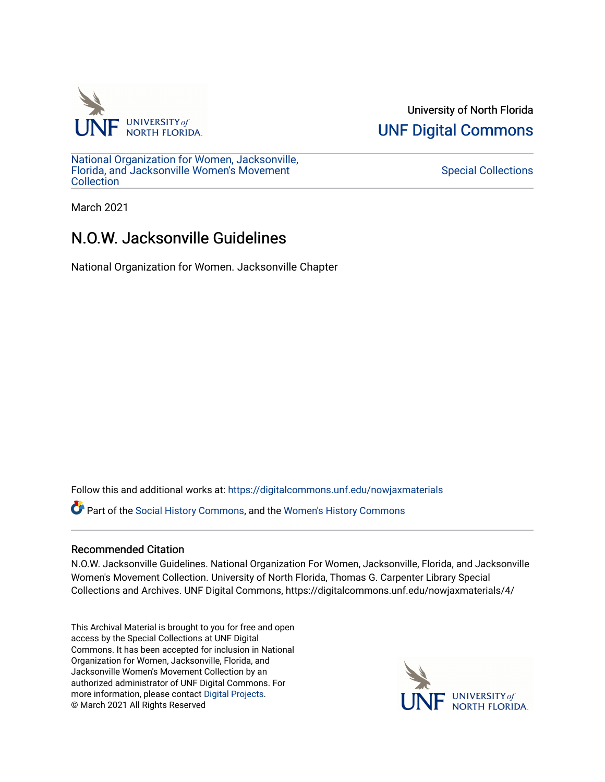

University of North Florida [UNF Digital Commons](https://digitalcommons.unf.edu/) 

[National Organization for Women, Jacksonville,](https://digitalcommons.unf.edu/nowjaxmaterials) [Florida, and Jacksonville Women's Movement](https://digitalcommons.unf.edu/nowjaxmaterials) **Collection** 

[Special Collections](https://digitalcommons.unf.edu/special_collections) 

March 2021

## N.O.W. Jacksonville Guidelines

National Organization for Women. Jacksonville Chapter

Follow this and additional works at: [https://digitalcommons.unf.edu/nowjaxmaterials](https://digitalcommons.unf.edu/nowjaxmaterials?utm_source=digitalcommons.unf.edu%2Fnowjaxmaterials%2F4&utm_medium=PDF&utm_campaign=PDFCoverPages) 

Part of the [Social History Commons](http://network.bepress.com/hgg/discipline/506?utm_source=digitalcommons.unf.edu%2Fnowjaxmaterials%2F4&utm_medium=PDF&utm_campaign=PDFCoverPages), and the [Women's History Commons](http://network.bepress.com/hgg/discipline/507?utm_source=digitalcommons.unf.edu%2Fnowjaxmaterials%2F4&utm_medium=PDF&utm_campaign=PDFCoverPages)

## Recommended Citation

N.O.W. Jacksonville Guidelines. National Organization For Women, Jacksonville, Florida, and Jacksonville Women's Movement Collection. University of North Florida, Thomas G. Carpenter Library Special Collections and Archives. UNF Digital Commons, https://digitalcommons.unf.edu/nowjaxmaterials/4/

This Archival Material is brought to you for free and open access by the Special Collections at UNF Digital Commons. It has been accepted for inclusion in National Organization for Women, Jacksonville, Florida, and Jacksonville Women's Movement Collection by an authorized administrator of UNF Digital Commons. For more information, please contact [Digital Projects](mailto:lib-digital@unf.edu). © March 2021 All Rights Reserved